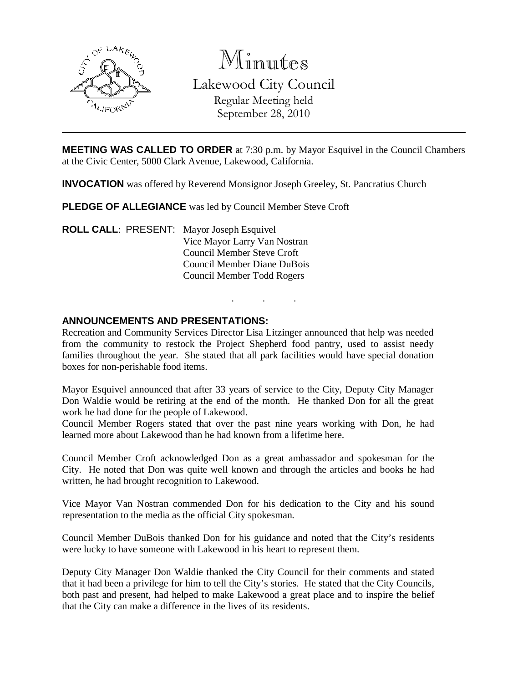

Minutes Lakewood City Council Regular Meeting held September 28, 2010

**MEETING WAS CALLED TO ORDER** at 7:30 p.m. by Mayor Esquivel in the Council Chambers at the Civic Center, 5000 Clark Avenue, Lakewood, California.

**INVOCATION** was offered by Reverend Monsignor Joseph Greeley, St. Pancratius Church

**PLEDGE OF ALLEGIANCE** was led by Council Member Steve Croft

**ROLL CALL**: PRESENT: Mayor Joseph Esquivel Vice Mayor Larry Van Nostran Council Member Steve Croft Council Member Diane DuBois Council Member Todd Rogers

### **ANNOUNCEMENTS AND PRESENTATIONS:**

Recreation and Community Services Director Lisa Litzinger announced that help was needed from the community to restock the Project Shepherd food pantry, used to assist needy families throughout the year. She stated that all park facilities would have special donation boxes for non-perishable food items.

. . .

Mayor Esquivel announced that after 33 years of service to the City, Deputy City Manager Don Waldie would be retiring at the end of the month. He thanked Don for all the great work he had done for the people of Lakewood.

Council Member Rogers stated that over the past nine years working with Don, he had learned more about Lakewood than he had known from a lifetime here.

Council Member Croft acknowledged Don as a great ambassador and spokesman for the City. He noted that Don was quite well known and through the articles and books he had written, he had brought recognition to Lakewood.

Vice Mayor Van Nostran commended Don for his dedication to the City and his sound representation to the media as the official City spokesman.

Council Member DuBois thanked Don for his guidance and noted that the City's residents were lucky to have someone with Lakewood in his heart to represent them.

Deputy City Manager Don Waldie thanked the City Council for their comments and stated that it had been a privilege for him to tell the City's stories. He stated that the City Councils, both past and present, had helped to make Lakewood a great place and to inspire the belief that the City can make a difference in the lives of its residents.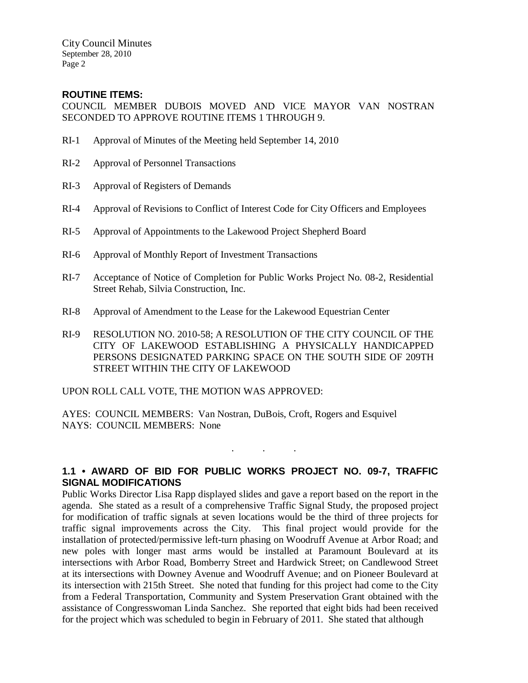City Council Minutes September 28, 2010 Page 2

## **ROUTINE ITEMS:**

COUNCIL MEMBER DUBOIS MOVED AND VICE MAYOR VAN NOSTRAN SECONDED TO APPROVE ROUTINE ITEMS 1 THROUGH 9.

- RI-1 Approval of Minutes of the Meeting held September 14, 2010
- RI-2 Approval of Personnel Transactions
- RI-3 Approval of Registers of Demands
- RI-4 Approval of Revisions to Conflict of Interest Code for City Officers and Employees
- RI-5 Approval of Appointments to the Lakewood Project Shepherd Board
- RI-6 Approval of Monthly Report of Investment Transactions
- RI-7 Acceptance of Notice of Completion for Public Works Project No. 08-2, Residential Street Rehab, Silvia Construction, Inc.
- RI-8 Approval of Amendment to the Lease for the Lakewood Equestrian Center
- RI-9 RESOLUTION NO. 2010-58; A RESOLUTION OF THE CITY COUNCIL OF THE CITY OF LAKEWOOD ESTABLISHING A PHYSICALLY HANDICAPPED PERSONS DESIGNATED PARKING SPACE ON THE SOUTH SIDE OF 209TH STREET WITHIN THE CITY OF LAKEWOOD

UPON ROLL CALL VOTE, THE MOTION WAS APPROVED:

AYES: COUNCIL MEMBERS: Van Nostran, DuBois, Croft, Rogers and Esquivel NAYS: COUNCIL MEMBERS: None

# **1.1 • AWARD OF BID FOR PUBLIC WORKS PROJECT NO. 09-7, TRAFFIC SIGNAL MODIFICATIONS**

. . .

Public Works Director Lisa Rapp displayed slides and gave a report based on the report in the agenda. She stated as a result of a comprehensive Traffic Signal Study, the proposed project for modification of traffic signals at seven locations would be the third of three projects for traffic signal improvements across the City. This final project would provide for the installation of protected/permissive left-turn phasing on Woodruff Avenue at Arbor Road; and new poles with longer mast arms would be installed at Paramount Boulevard at its intersections with Arbor Road, Bomberry Street and Hardwick Street; on Candlewood Street at its intersections with Downey Avenue and Woodruff Avenue; and on Pioneer Boulevard at its intersection with 215th Street. She noted that funding for this project had come to the City from a Federal Transportation, Community and System Preservation Grant obtained with the assistance of Congresswoman Linda Sanchez. She reported that eight bids had been received for the project which was scheduled to begin in February of 2011. She stated that although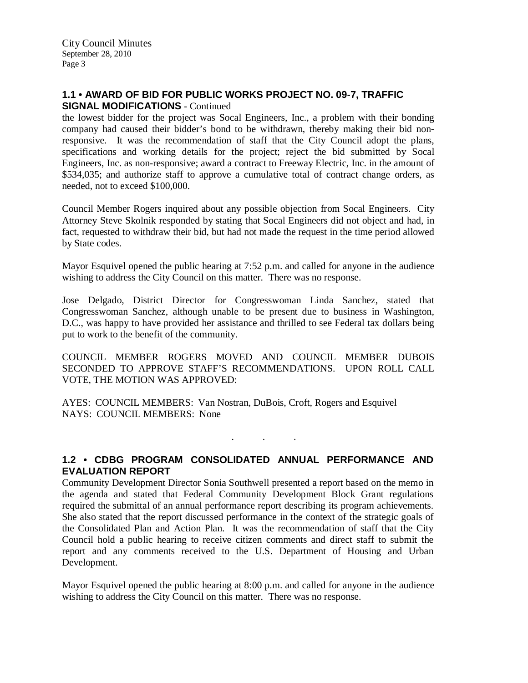# **1.1 • AWARD OF BID FOR PUBLIC WORKS PROJECT NO. 09-7, TRAFFIC SIGNAL MODIFICATIONS** - Continued

the lowest bidder for the project was Socal Engineers, Inc., a problem with their bonding company had caused their bidder's bond to be withdrawn, thereby making their bid nonresponsive. It was the recommendation of staff that the City Council adopt the plans, specifications and working details for the project; reject the bid submitted by Socal Engineers, Inc. as non-responsive; award a contract to Freeway Electric, Inc. in the amount of \$534,035; and authorize staff to approve a cumulative total of contract change orders, as needed, not to exceed \$100,000.

Council Member Rogers inquired about any possible objection from Socal Engineers. City Attorney Steve Skolnik responded by stating that Socal Engineers did not object and had, in fact, requested to withdraw their bid, but had not made the request in the time period allowed by State codes.

Mayor Esquivel opened the public hearing at 7:52 p.m. and called for anyone in the audience wishing to address the City Council on this matter. There was no response.

Jose Delgado, District Director for Congresswoman Linda Sanchez, stated that Congresswoman Sanchez, although unable to be present due to business in Washington, D.C., was happy to have provided her assistance and thrilled to see Federal tax dollars being put to work to the benefit of the community.

COUNCIL MEMBER ROGERS MOVED AND COUNCIL MEMBER DUBOIS SECONDED TO APPROVE STAFF'S RECOMMENDATIONS. UPON ROLL CALL VOTE, THE MOTION WAS APPROVED:

AYES: COUNCIL MEMBERS: Van Nostran, DuBois, Croft, Rogers and Esquivel NAYS: COUNCIL MEMBERS: None

**1.2 • CDBG PROGRAM CONSOLIDATED ANNUAL PERFORMANCE AND EVALUATION REPORT**

. . .

Community Development Director Sonia Southwell presented a report based on the memo in the agenda and stated that Federal Community Development Block Grant regulations required the submittal of an annual performance report describing its program achievements. She also stated that the report discussed performance in the context of the strategic goals of the Consolidated Plan and Action Plan. It was the recommendation of staff that the City Council hold a public hearing to receive citizen comments and direct staff to submit the report and any comments received to the U.S. Department of Housing and Urban Development.

Mayor Esquivel opened the public hearing at 8:00 p.m. and called for anyone in the audience wishing to address the City Council on this matter. There was no response.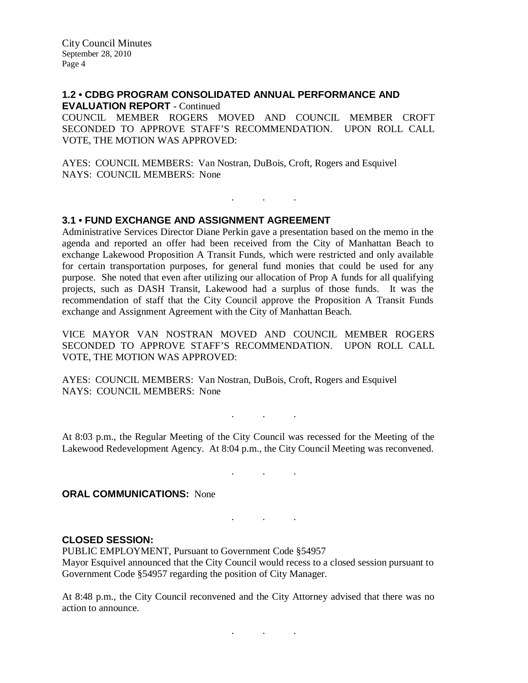City Council Minutes September 28, 2010 Page 4

#### **1.2 • CDBG PROGRAM CONSOLIDATED ANNUAL PERFORMANCE AND EVALUATION REPORT** - Continued

COUNCIL MEMBER ROGERS MOVED AND COUNCIL MEMBER CROFT SECONDED TO APPROVE STAFF'S RECOMMENDATION. UPON ROLL CALL VOTE, THE MOTION WAS APPROVED:

. . .

AYES: COUNCIL MEMBERS: Van Nostran, DuBois, Croft, Rogers and Esquivel NAYS: COUNCIL MEMBERS: None

### **3.1 • FUND EXCHANGE AND ASSIGNMENT AGREEMENT**

Administrative Services Director Diane Perkin gave a presentation based on the memo in the agenda and reported an offer had been received from the City of Manhattan Beach to exchange Lakewood Proposition A Transit Funds, which were restricted and only available for certain transportation purposes, for general fund monies that could be used for any purpose. She noted that even after utilizing our allocation of Prop A funds for all qualifying projects, such as DASH Transit, Lakewood had a surplus of those funds. It was the recommendation of staff that the City Council approve the Proposition A Transit Funds exchange and Assignment Agreement with the City of Manhattan Beach.

VICE MAYOR VAN NOSTRAN MOVED AND COUNCIL MEMBER ROGERS SECONDED TO APPROVE STAFF'S RECOMMENDATION. UPON ROLL CALL VOTE, THE MOTION WAS APPROVED:

AYES: COUNCIL MEMBERS: Van Nostran, DuBois, Croft, Rogers and Esquivel NAYS: COUNCIL MEMBERS: None

At 8:03 p.m., the Regular Meeting of the City Council was recessed for the Meeting of the Lakewood Redevelopment Agency. At 8:04 p.m., the City Council Meeting was reconvened.

. . .

. . .

. . .

**ORAL COMMUNICATIONS:** None

#### **CLOSED SESSION:**

PUBLIC EMPLOYMENT, Pursuant to Government Code §54957 Mayor Esquivel announced that the City Council would recess to a closed session pursuant to Government Code §54957 regarding the position of City Manager.

At 8:48 p.m., the City Council reconvened and the City Attorney advised that there was no action to announce.

. . .